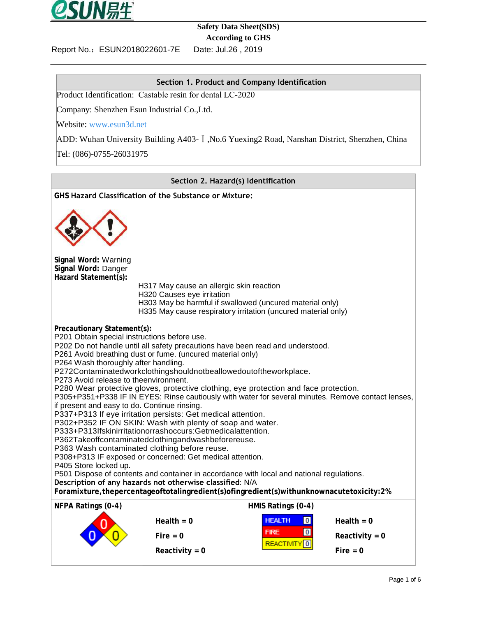

## **Safety Data Sheet(SDS) According to GHS**

Date: Jul.26, 2019

Report No.: ESUN2018022601-7E

### **Section 1. Product and Company Identification**

Product Identification: Castable resin for dental LC-2020

Company: Shenzhen Esun Industrial Co.,Ltd.

Website: [www.esun3d.net](http://www.esun3d.net/)

ADD: Wuhan University Building A403-Ⅰ,No.6 Yuexing2 Road, Nanshan District, Shenzhen, China

Tel: (086)-0755-26031975

#### **Section 2. Hazard(s) Identification**

**GHS Hazard Classification of the Substance or Mixture: Signal Word:** Warning **Signal Word:** Danger **Hazard Statement(s):** H317 May cause an allergic skin reaction H320 Causes eye irritation H303 May be harmful if swallowed (uncured material only) H335 May cause respiratory irritation (uncured material only) **Precautionary Statement(s):** P201 Obtain special instructions before use. P202 Do not handle until all safety precautions have been read and understood. P261 Avoid breathing dust or fume. (uncured material only) P264 Wash thoroughly after handling. P272Contaminatedworkclothingshouldnotbeallowedoutoftheworkplace. P273 Avoid release to theenvironment. P280 Wear protective gloves, protective clothing, eye protection and face protection. P305+P351+P338 IF IN EYES: Rinse cautiously with water for several minutes. Remove contact lenses, if present and easy to do. Continue rinsing. P337+P313 If eye irritation persists: Get medical attention. P302+P352 IF ON SKIN: Wash with plenty of soap and water. P333+P313Ifskinirritationorrashoccurs:Getmedicalattention. P362Takeoffcontaminatedclothingandwashbeforereuse. P363 Wash contaminated clothing before reuse. P308+P313 IF exposed or concerned: Get medical attention. P405 Store locked up. P501 Dispose of contents and container in accordance with local and national regulations. **Description of any hazards not otherwise classified**: N/A **Foramixture,thepercentageoftotalingredient(s)ofingredient(s)withunknownacutetoxicity:2% NFPA Ratings (0-4) HMIS Ratings (0-4) Health = 0 Health = 0 FIRE O Reactivity = 0**<br>**REACTIVITY O REACTIVITY REACTIVITY O** Reactivity = 0 **Fire** = 0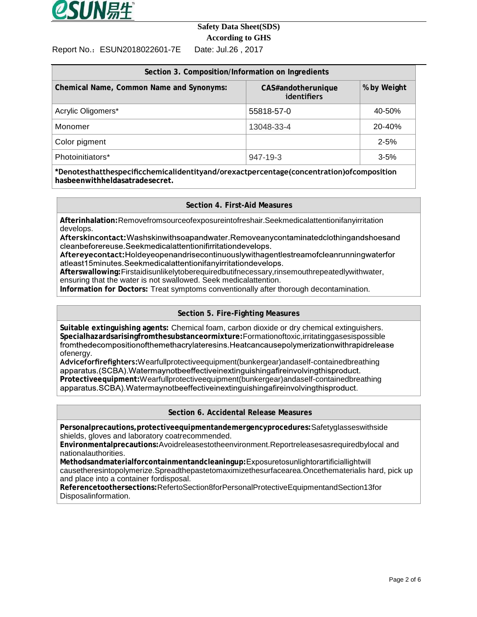

### **Safety Data Sheet(SDS) According to GHS**

Report No.:ESUN2018022601-7E Date: Jul.26 , 2017

| Section 3. Composition/Information on Ingredients |                                   |             |  |  |  |  |  |
|---------------------------------------------------|-----------------------------------|-------------|--|--|--|--|--|
| Chemical Name, Common Name and Synonyms:          | CAS#andotherunique<br>identifiers | % by Weight |  |  |  |  |  |
| Acrylic Oligomers*                                | 55818-57-0                        | 40-50%      |  |  |  |  |  |
| Monomer                                           | 13048-33-4                        | 20-40%      |  |  |  |  |  |
| Color pigment                                     |                                   | $2 - 5%$    |  |  |  |  |  |
| Photoinitiators*                                  | 947-19-3                          | $3 - 5%$    |  |  |  |  |  |

**\*Denotesthatthespecificchemicalidentityand/orexactpercentage(concentration)ofcomposition hasbeenwithheldasatradesecret.**

#### **Section 4. First-Aid Measures**

**Afterinhalation:**Removefromsourceofexposureintofreshair.Seekmedicalattentionifanyirritation develops.<br>Afterskincontact:Washskinwithsoapandwater.Removeanycontaminatedclothingandshoesand

cleanbeforereuse.Seekmedicalattentionifirritationdevelops.

Aftereyecontact:Holdeyeopenandrisecontinuouslywithagentlestreamofcleanrunningwaterfor atleast15minutes.Seekmedicalattentionifanvirritationdevelops.

**Afterswallowing:**Firstaidisunlikelytoberequiredbutifnecessary,rinsemouthrepeatedlywithwater, ensuring that the water is not swallowed. Seek medicalattention.

**Information for Doctors:** Treat symptoms conventionally after thorough decontamination.

#### **Section 5. Fire-Fighting Measures**

**Suitable extinguishing agents:** Chemical foam, carbon dioxide or dry chemical extinguishers. **Specialhazardsarisingfromthesubstanceormixture:**Formationoftoxic,irritatinggasesispossible ofenergy.

**Adviceforfirefighters:**Wearfullprotectiveequipment(bunkergear)andaself-containedbreathing **Protectiveequipment:**Wearfullprotectiveequipment(bunkergear)andaself-containedbreathing

#### **Section 6. Accidental Release Measures**

**Personalprecautions,protectiveequipmentandemergencyprocedures:**Safetyglasseswithside shields, gloves and laboratory coatrecommended.

**Environmentalprecautions:**Avoidreleasestotheenvironment.Reportreleasesasrequiredbylocal and nationalauthorities.

**Methodsandmaterialforcontainmentandcleaningup:**Exposuretosunlightorartificiallightwill causetheresintopolymerize.Spreadthepastetomaximizethesurfacearea.Oncethematerialis hard, pick up and place into a container fordisposal.

**Referencetoothersections:**RefertoSection8forPersonalProtectiveEquipmentandSection13for Disposalinformation.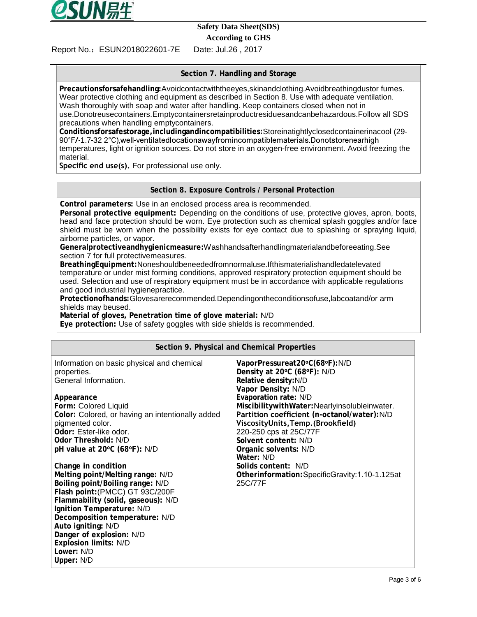

## **Safety Data Sheet(SDS)**

**According to GHS**

Report No.:ESUN2018022601-7E Date: Jul.26 , 2017

### **Section 7. Handling and Storage**

**Precautionsforsafehandling:**Avoidcontactwiththeeyes,skinandclothing.Avoidbreathingdustor fumes. Wear protective clothing and equipment as described in Section 8. Use with adequate ventilation. Wash thoroughly with soap and water after handling. Keep containers closed when not in use.Donotreusecontainers.Emptycontainersretainproductresiduesandcanbehazardous.Follow all SDS precautions when handling emptycontainers.

**Conditionsforsafestorage,includingandincompatibilities:**Storeinatightlyclosedcontainerinacool 29 90°F/-1.7-32.2°C), well-ventilated location away from incompatible materials. Donot store nearhigh temperatures, light or ignition sources. Do not store in an oxygen-free environment. Avoid freezing the material.

**Specific end use(s).** For professional use only.

#### **Section 8. Exposure Controls / Personal Protection**

**Control parameters:** Use in an enclosed process area is recommended.

**Personal protective equipment:** Depending on the conditions of use, protective gloves, apron, boots, head and face protection should be worn. Eye protection such as chemical splash goggles and/or face shield must be worn when the possibility exists for eye contact due to splashing or spraying liquid, airborne particles, or vapor.

**Generalprotectiveandhygienicmeasure:**Washhandsafterhandlingmaterialandbeforeeating.See section 7 for full protectivemeasures.

**BreathingEquipment:**Noneshouldbeneededfromnormaluse.Ifthismaterialishandledatelevated temperature or under mist forming conditions, approved respiratory protection equipment should be used. Selection and use of respiratory equipment must be in accordance with applicable regulations and good industrial hygienepractice.

**Protectionofhands:**Glovesarerecommended.Dependingontheconditionsofuse,labcoatand/or arm shields may beused.

**Material of gloves, Penetration time of glove material:** N/D

**Eye protection:** Use of safety goggles with side shields is recommended.

| Section 9. Physical and Chemical Properties                                                                                                                                                                                                                                                                                                       |                                                                                                                                                                                                                                                                                                                                                                    |  |  |  |  |  |
|---------------------------------------------------------------------------------------------------------------------------------------------------------------------------------------------------------------------------------------------------------------------------------------------------------------------------------------------------|--------------------------------------------------------------------------------------------------------------------------------------------------------------------------------------------------------------------------------------------------------------------------------------------------------------------------------------------------------------------|--|--|--|--|--|
| Information on basic physical and chemical<br>properties.<br>General Information.<br>Appearance<br>Form: Colored Liquid<br>Color: Colored, or having an intentionally added<br>pigmented color.<br>Odor: Ester-like odor.<br>Odor Threshold: N/D<br>pH value at $20^{\circ}$ C (68 $^{\circ}$ F): N/D                                             | VaporPressureat20°C(68°F):N/D<br>Density at 20°C (68°F): N/D<br>Relative density: N/D<br>Vapor Density: N/D<br>Evaporation rate: N/D<br>MiscibilitywithWater:Nearlyinsolubleinwater.<br>Partition coefficient (n-octanol/water):N/D<br>ViscosityUnits, Temp. (Brookfield)<br>220-250 cps at 25C/77F<br>Solvent content: N/D<br>Organic solvents: N/D<br>Water: N/D |  |  |  |  |  |
| Change in condition<br>Melting point/Melting range: N/D<br>Boiling point/Boiling range: N/D<br>Flash point: (PMCC) GT 93C/200F<br>Flammability (solid, gaseous): N/D<br>Ignition Temperature: N/D<br>Decomposition temperature: N/D<br>Auto igniting: N/D<br>Danger of explosion: N/D<br><b>Explosion limits: N/D</b><br>Lower: N/D<br>Upper: N/D | Solids content: N/D<br>Otherinformation: SpecificGravity: 1.10-1.125at<br>25C/77F                                                                                                                                                                                                                                                                                  |  |  |  |  |  |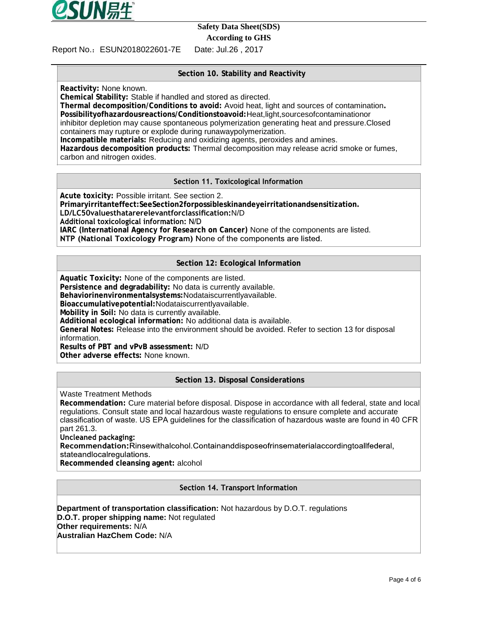

# **Safety Data Sheet(SDS)**

**According to GHS**

Report No.:ESUN2018022601-7E Date: Jul.26 , 2017

# **Section 10. Stability and Reactivity**

**Reactivity:** None known.

**Chemical Stability:** Stable if handled and stored as directed.

**Thermal decomposition/Conditions to avoid:** Avoid heat, light and sources of contamination**. Possibilityofhazardousreactions/Conditionstoavoid:**Heat,light,sourcesofcontaminationor inhibitor depletion may cause spontaneous polymerization generating heat and pressure.Closed containers may rupture or explode during runawaypolymerization. **Incompatible materials:** Reducing and oxidizing agents, peroxides and amines.

**Hazardous decomposition products:** Thermal decomposition may release acrid smoke or fumes, carbon and nitrogen oxides.

#### Section 11. Toxicological Information

**Acute toxicity:** Possible irritant. See section 2. **Primaryirritanteffect:SeeSection2forpossibleskinandeyeirritationandsensitization. LD/LC50valuesthatarerelevantforclassification:**N/D **IARC (International Agency for Research on Cancer)** None of the components are listed. NTP (National Toxicology Program) None of the components are listed.

**Section 12: Ecological Information**

**Aquatic Toxicity:** None of the components are listed. **Persistence and degradability:** No data is currently available. **Behaviorinenvironmentalsystems:**Nodataiscurrentlyavailable. **Bioaccumulativepotential:**Nodataiscurrentlyavailable. **Mobility in Soil:** No data is currently available. **Additional ecological information:** No additional data is available. **General Notes:** Release into the environment should be avoided. Refer to section 13 for disposal information. **Results of PBT and vPvB assessment:** N/D

**Other adverse effects:** None known.

#### **Section 13. Disposal Considerations**

Waste Treatment Methods

**Recommendation:** Cure material before disposal. Dispose in accordance with all federal, state and local regulations. Consult state and local hazardous waste regulations to ensure complete and accurate classification of waste. US EPA guidelines for the classification of hazardous waste are found in 40 CFR part 261.3.<br>Uncleaned packaging:

Recommendation: Rinsewithalcohol. Containanddisposeofrinsematerialaccordingtoallfederal, stateandlocalregulations.

**Recommended cleansing agent:** alcohol

Section 14. Transport Information

**Department of transportation classification:** Not hazardous by D.O.T. regulations **D.O.T. proper shipping name:** Not regulated **Other requirements:** N/A **Australian HazChem Code:** N/A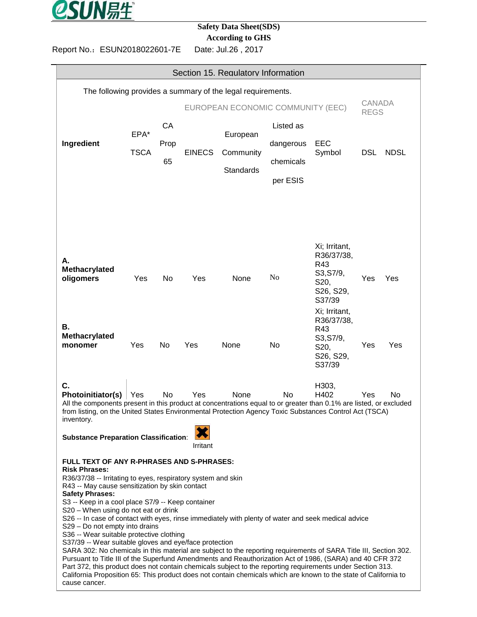

# **Safety Data Sheet(SDS)**

**According to GHS**

Report No.:ESUN2018022601-7E Date: Jul.26 , 2017

| Section 15. Regulatory Information                                                                                                                                                                                                                                                                                                                                                                                                                                                                                                                                                                                                                                                                                                                                                                                                                                                                                                                                                                                                            |                     |                  |                                   |                                           |                                                 |                                                                                             |                              |             |  |
|-----------------------------------------------------------------------------------------------------------------------------------------------------------------------------------------------------------------------------------------------------------------------------------------------------------------------------------------------------------------------------------------------------------------------------------------------------------------------------------------------------------------------------------------------------------------------------------------------------------------------------------------------------------------------------------------------------------------------------------------------------------------------------------------------------------------------------------------------------------------------------------------------------------------------------------------------------------------------------------------------------------------------------------------------|---------------------|------------------|-----------------------------------|-------------------------------------------|-------------------------------------------------|---------------------------------------------------------------------------------------------|------------------------------|-------------|--|
| The following provides a summary of the legal requirements.                                                                                                                                                                                                                                                                                                                                                                                                                                                                                                                                                                                                                                                                                                                                                                                                                                                                                                                                                                                   |                     |                  |                                   |                                           |                                                 |                                                                                             |                              |             |  |
|                                                                                                                                                                                                                                                                                                                                                                                                                                                                                                                                                                                                                                                                                                                                                                                                                                                                                                                                                                                                                                               |                     |                  | EUROPEAN ECONOMIC COMMUNITY (EEC) |                                           |                                                 |                                                                                             | <b>CANADA</b><br><b>REGS</b> |             |  |
| Ingredient                                                                                                                                                                                                                                                                                                                                                                                                                                                                                                                                                                                                                                                                                                                                                                                                                                                                                                                                                                                                                                    | EPA*<br><b>TSCA</b> | CA<br>Prop<br>65 | <b>EINECS</b>                     | European<br>Community<br><b>Standards</b> | Listed as<br>dangerous<br>chemicals<br>per ESIS | EEC<br>Symbol                                                                               | <b>DSL</b>                   | <b>NDSL</b> |  |
| А.<br>Methacrylated<br>oligomers                                                                                                                                                                                                                                                                                                                                                                                                                                                                                                                                                                                                                                                                                                                                                                                                                                                                                                                                                                                                              | Yes                 | No.              | Yes                               | None                                      | No                                              | Xi; Irritant,<br>R36/37/38,<br>R43<br>S3, S7/9,<br>S <sub>20</sub> ,<br>S26, S29,<br>S37/39 | Yes                          | Yes         |  |
| В.<br>Methacrylated<br>monomer                                                                                                                                                                                                                                                                                                                                                                                                                                                                                                                                                                                                                                                                                                                                                                                                                                                                                                                                                                                                                | Yes                 | No               | Yes                               | None                                      | No                                              | Xi; Irritant,<br>R36/37/38,<br>R43<br>S3, S7/9,<br>S20,<br>S26, S29,<br>S37/39              | Yes                          | Yes         |  |
| C.<br>Photoinitiator(s)<br>All the components present in this product at concentrations equal to or greater than 0.1% are listed, or excluded<br>from listing, on the United States Environmental Protection Agency Toxic Substances Control Act (TSCA)<br>inventory.                                                                                                                                                                                                                                                                                                                                                                                                                                                                                                                                                                                                                                                                                                                                                                         | Yes                 | No               | Yes                               | None                                      | <b>No</b>                                       | H303,<br>H402                                                                               | Yes                          | No          |  |
| <b>Substance Preparation Classification:</b>                                                                                                                                                                                                                                                                                                                                                                                                                                                                                                                                                                                                                                                                                                                                                                                                                                                                                                                                                                                                  |                     |                  | Irritant                          |                                           |                                                 |                                                                                             |                              |             |  |
| FULL TEXT OF ANY R-PHRASES AND S-PHRASES:<br><b>Risk Phrases:</b><br>R36/37/38 -- Irritating to eyes, respiratory system and skin<br>R43 -- May cause sensitization by skin contact<br><b>Safety Phrases:</b><br>S3 -- Keep in a cool place S7/9 -- Keep container<br>S20 - When using do not eat or drink<br>S26 -- In case of contact with eyes, rinse immediately with plenty of water and seek medical advice<br>S29 - Do not empty into drains<br>S36 -- Wear suitable protective clothing<br>S37/39 -- Wear suitable gloves and eye/face protection<br>SARA 302: No chemicals in this material are subject to the reporting requirements of SARA Title III, Section 302.<br>Pursuant to Title III of the Superfund Amendments and Reauthorization Act of 1986, (SARA) and 40 CFR 372<br>Part 372, this product does not contain chemicals subject to the reporting requirements under Section 313.<br>California Proposition 65: This product does not contain chemicals which are known to the state of California to<br>cause cancer. |                     |                  |                                   |                                           |                                                 |                                                                                             |                              |             |  |